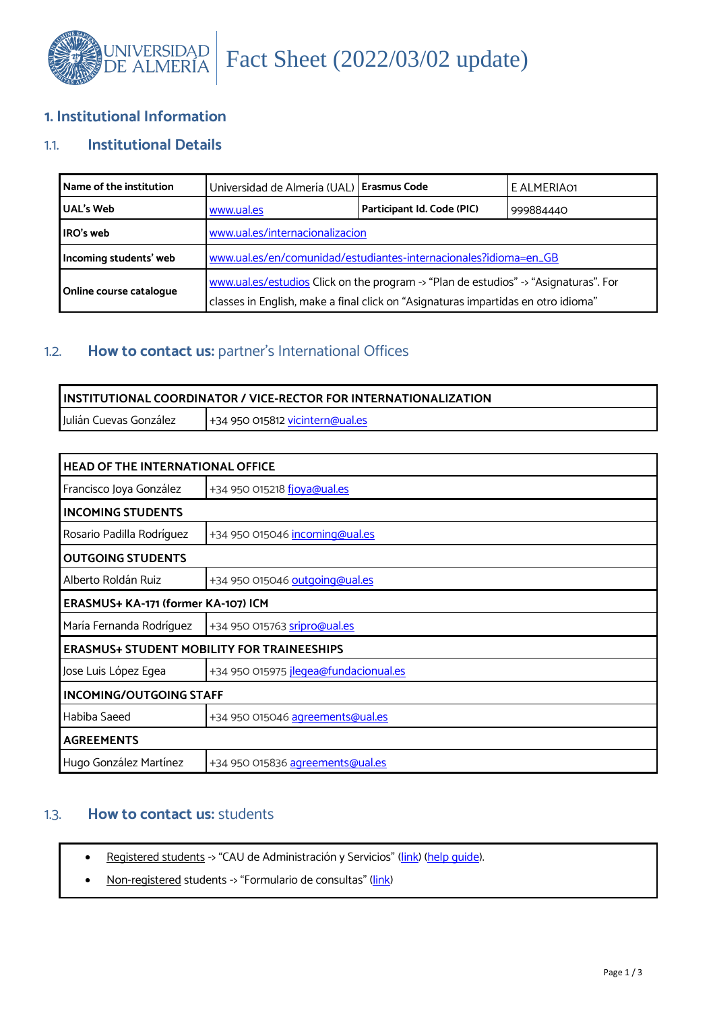

# **1. Institutional Information**

# 1.1. **Institutional Details**

| Name of the institution | Universidad de Almería (UAL) Erasmus Code                                                                                                                                 |                            | E ALMERIA01 |
|-------------------------|---------------------------------------------------------------------------------------------------------------------------------------------------------------------------|----------------------------|-------------|
| <b>UAL's Web</b>        | www.ual.es                                                                                                                                                                | Participant Id. Code (PIC) | 999884440   |
| IRO's web               | www.ual.es/internacionalizacion                                                                                                                                           |                            |             |
| Incoming students' web  | www.ual.es/en/comunidad/estudiantes-internacionales?idioma=en_GB                                                                                                          |                            |             |
| Online course catalogue | www.ual.es/estudios Click on the program -> "Plan de estudios" -> "Asignaturas". For<br>classes in English, make a final click on "Asignaturas impartidas en otro idioma" |                            |             |

# 1.2. **How to contact us:** partner's International Offices

| <u>I INSTITUTIONAL COORDINATOR / VICE-RECTOR FOR INTERNATIONALIZATION</u> |                                         |  |
|---------------------------------------------------------------------------|-----------------------------------------|--|
| Julián Cuevas González                                                    | 1+34 950 015812 <u>vicintern@ual.es</u> |  |

| <b>HEAD OF THE INTERNATIONAL OFFICE</b>           |                                       |  |
|---------------------------------------------------|---------------------------------------|--|
| Francisco Joya González                           | +34 950 015218 fjoya@ual.es           |  |
| <b>INCOMING STUDENTS</b>                          |                                       |  |
| Rosario Padilla Rodríguez                         | +34 950 015046 incoming@ual.es        |  |
| <b>OUTGOING STUDENTS</b>                          |                                       |  |
| Alberto Roldán Ruiz                               | +34 950 015046 outgoing@ual.es        |  |
| ERASMUS+ KA-171 (former KA-107) ICM               |                                       |  |
| María Fernanda Rodríguez                          | +34 950 015763 sripro@ual.es          |  |
| <b>ERASMUS+ STUDENT MOBILITY FOR TRAINEESHIPS</b> |                                       |  |
| Jose Luis López Egea                              | +34 950 015975 jleqea@fundacionual.es |  |
| <b>INCOMING/OUTGOING STAFF</b>                    |                                       |  |
| Habiba Saeed                                      | +34 950 015046 agreements@ual.es      |  |
| <b>AGREEMENTS</b>                                 |                                       |  |
| Hugo González Martínez                            | +34 950 015836 agreements@ual.es      |  |

# 1.3. **How to contact us:** students

- Registered students -> "CAU de Administración y Servicios" [\(link\)](https://otrspas.ual.es/otrs/customer.pl/) [\(help guide\)](https://www.ual.es/application/files/7316/0447/1929/HELP_II__CAU_ENGLISH_VERISON.pdf).
- Non-registered students -> "Formulario de consultas" [\(link\)](https://www.ual.es/en/contacta/consultasincidencias?idioma=en_GB)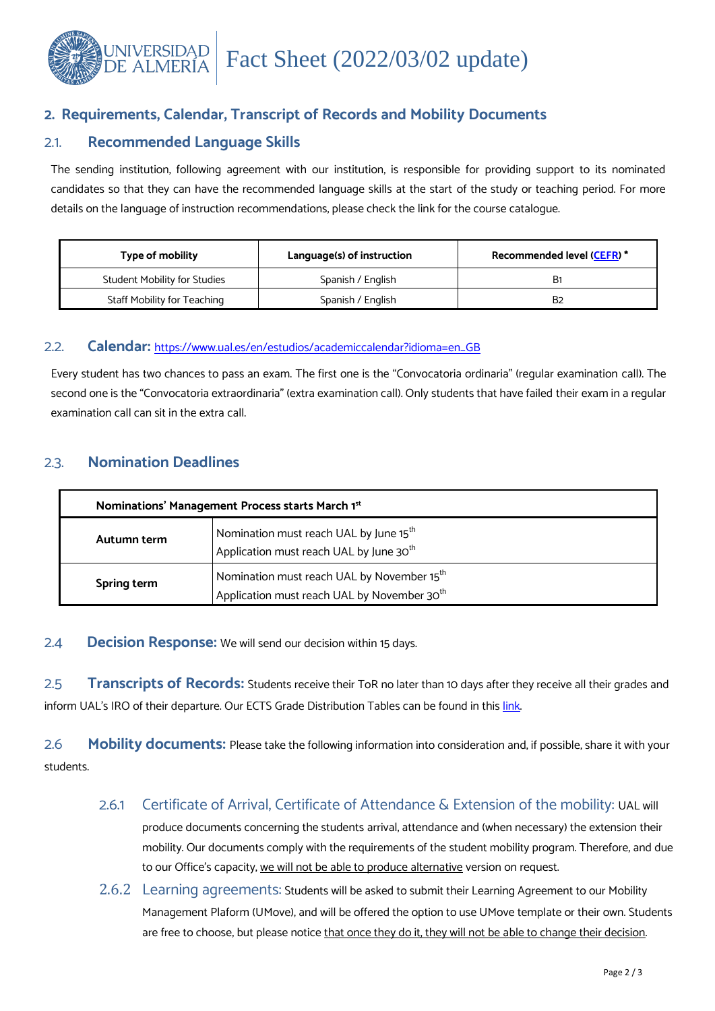

# **2. Requirements, Calendar, Transcript of Records and Mobility Documents**

## 2.1. **Recommended Language Skills**

The sending institution, following agreement with our institution, is responsible for providing support to its nominated candidates so that they can have the recommended language skills at the start of the study or teaching period. For more details on the language of instruction recommendations, please check the link for the course catalogue.

| Type of mobility             | Language(s) of instruction | <b>Recommended level (CEFR)*</b> |
|------------------------------|----------------------------|----------------------------------|
| Student Mobility for Studies | Spanish / English          | B1                               |
| Staff Mobility for Teaching  | Spanish / English          | B2                               |

### 2.2. **Calendar:** [https://www.ual.es/en/estudios/academiccalendar?idioma=en\\_GB](https://www.ual.es/en/estudios/academiccalendar?idioma=en_GB)

Every student has two chances to pass an exam. The first one is the "Convocatoria ordinaria" (regular examination call). The second one is the "Convocatoria extraordinaria" (extra examination call). Only students that have failed their exam in a regular examination call can sit in the extra call.

## 2.3. **Nomination Deadlines**

| Nominations' Management Process starts March 1st                                                                                 |                                                                                                           |  |
|----------------------------------------------------------------------------------------------------------------------------------|-----------------------------------------------------------------------------------------------------------|--|
| Autumn term                                                                                                                      | Nomination must reach UAL by June 15 <sup>th</sup><br>Application must reach UAL by June 30 <sup>th</sup> |  |
| Nomination must reach UAL by November 15 <sup>th</sup><br>Spring term<br>Application must reach UAL by November 30 <sup>th</sup> |                                                                                                           |  |

### 2.4 **Decision Response:** We will send our decision within 15 days.

2.5 **Transcripts of Records:** Students receive their ToR no later than 10 days after they receive all their grades and inform UAL's IRO of their departure. Our ECTS Grade Distribution Tables can be found in this [link.](https://www.ual.es/application/files/5216/1881/8122/ECTS_Distribucion_de_Calificaciones.pdf)

2.6 **Mobility documents:** Please take the following information into consideration and, if possible, share it with your students.

## 2.6.1 Certificate of Arrival, Certificate of Attendance & Extension of the mobility: UAL will

produce documents concerning the students arrival, attendance and (when necessary) the extension their mobility. Our documents comply with the requirements of the student mobility program. Therefore, and due to our Office's capacity, we will not be able to produce alternative version on request.

2.6.2 Learning agreements: Students will be asked to submit their Learning Agreement to our Mobility Management Plaform (UMove), and will be offered the option to use UMove template or their own. Students are free to choose, but please notice that once they do it, they will not be able to change their decision.